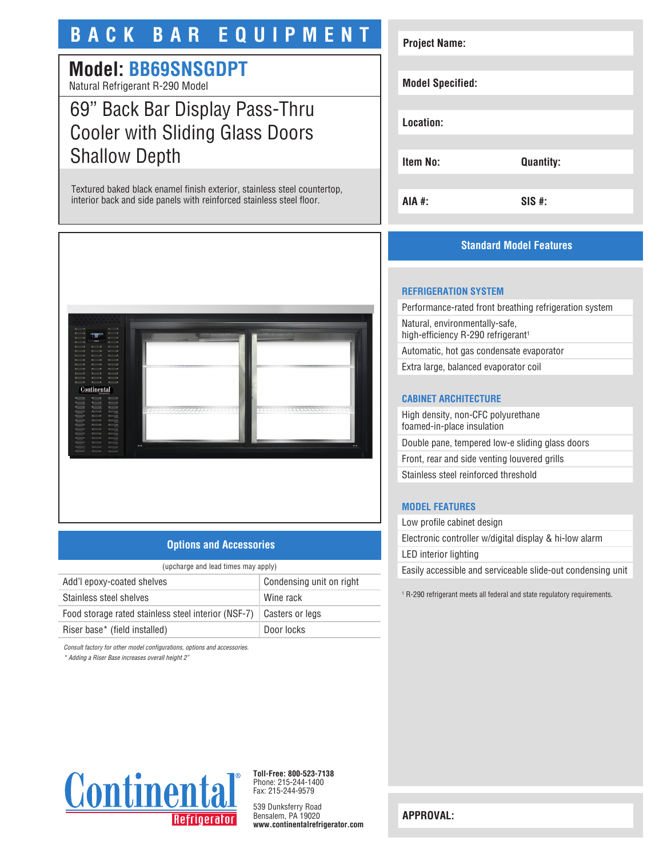# **BACK BAR EQUIPMENT**

# **Model: BB69SNSGDPT**

Natural Refrigerant R-290 Model

# 69" Back Bar Display Pass-Thru Cooler with Sliding Glass Doors Shallow Depth

Textured baked black enamel finish exterior, stainless steel countertop, interior back and side panels with reinforced stainless steel floor.



## **Options and Accessories**

| (upcharge and lead times may apply) |  |  |
|-------------------------------------|--|--|
| Condensing unit on right            |  |  |
| Wine rack                           |  |  |
| Casters or legs                     |  |  |
| Door locks                          |  |  |
|                                     |  |  |

*Consult factory for other model configurations, options and accessories.*

*\* Adding a Riser Base increases overall height 2"*

# **Project Name: Model Specified: Location: Item No: Quantity: AIA #: SIS #:**

## **Standard Model Features**

#### **REFRIGERATION SYSTEM**

Performance-rated front breathing refrigeration system Natural, environmentally-safe, high-efficiency R-290 refrigerant<sup>1</sup> Automatic, hot gas condensate evaporator

Extra large, balanced evaporator coil

#### **CABINET ARCHITECTURE**

High density, non-CFC polyurethane foamed-in-place insulation Double pane, tempered low-e sliding glass doors Front, rear and side venting louvered grills Stainless steel reinforced threshold

## **MODEL FEATURES**

Low profile cabinet design Electronic controller w/digital display & hi-low alarm LED interior lighting Easily accessible and serviceable slide-out condensing unit

1 R-290 refrigerant meets all federal and state regulatory requirements.



**Toll-Free: 800-523-7138** Phone: 215-244-1400 Fax: 215-244-9579

539 Dunksferry Road Bensalem, PA 19020 **www.continentalrefrigerator.com** 

**APPROVAL:**